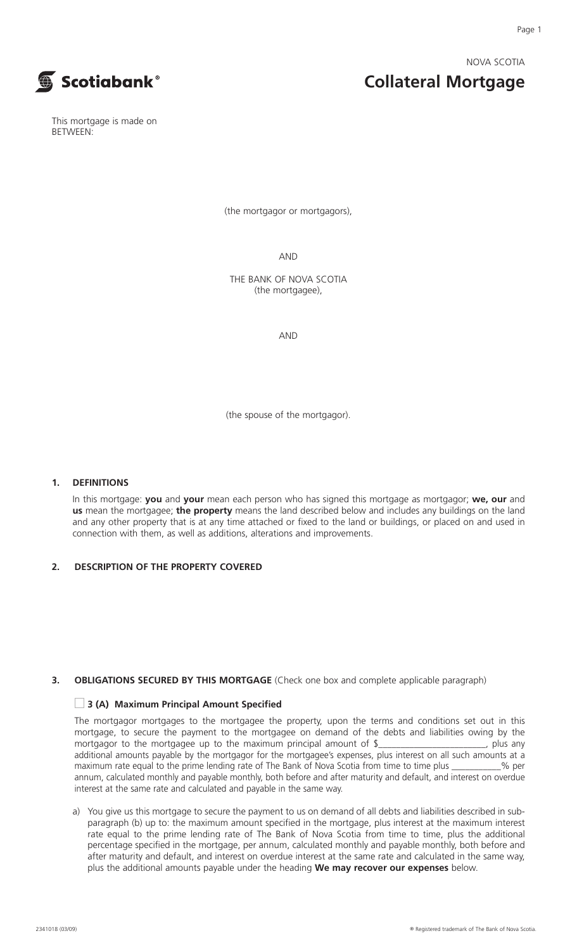NOVA SCOTIA

**Collateral Mortgage**



This mortgage is made on BETWEEN:

(the mortgagor or mortgagors),

AND

THE BANK OF NOVA SCOTIA (the mortgagee),

AND

(the spouse of the mortgagor).

#### **1. DEFINITIONS**

In this mortgage: **you** and **your** mean each person who has signed this mortgage as mortgagor; **we, our** and **us** mean the mortgagee; **the property** means the land described below and includes any buildings on the land and any other property that is at any time attached or fixed to the land or buildings, or placed on and used in connection with them, as well as additions, alterations and improvements.

#### **2. DESCRIPTION OF THE PROPERTY COVERED**

## **3. OBLIGATIONS SECURED BY THIS MORTGAGE** (Check one box and complete applicable paragraph)

#### **■ 3 (A) Maximum Principal Amount Specified**

The mortgagor mortgages to the mortgagee the property, upon the terms and conditions set out in this mortgage, to secure the payment to the mortgagee on demand of the debts and liabilities owing by the mortgagor to the mortgagee up to the maximum principal amount of \$\_\_\_\_\_\_\_\_\_\_\_\_\_\_\_\_\_\_\_\_\_\_, plus any additional amounts payable by the mortgagor for the mortgagee's expenses, plus interest on all such amounts at a maximum rate equal to the prime lending rate of The Bank of Nova Scotia from time to time plus \_\_\_\_\_\_\_\_\_\_\_% per annum, calculated monthly and payable monthly, both before and after maturity and default, and interest on overdue interest at the same rate and calculated and payable in the same way.

a) You give us this mortgage to secure the payment to us on demand of all debts and liabilities described in subparagraph (b) up to: the maximum amount specified in the mortgage, plus interest at the maximum interest rate equal to the prime lending rate of The Bank of Nova Scotia from time to time, plus the additional percentage specified in the mortgage, per annum, calculated monthly and payable monthly, both before and after maturity and default, and interest on overdue interest at the same rate and calculated in the same way, plus the additional amounts payable under the heading **We may recover our expenses** below.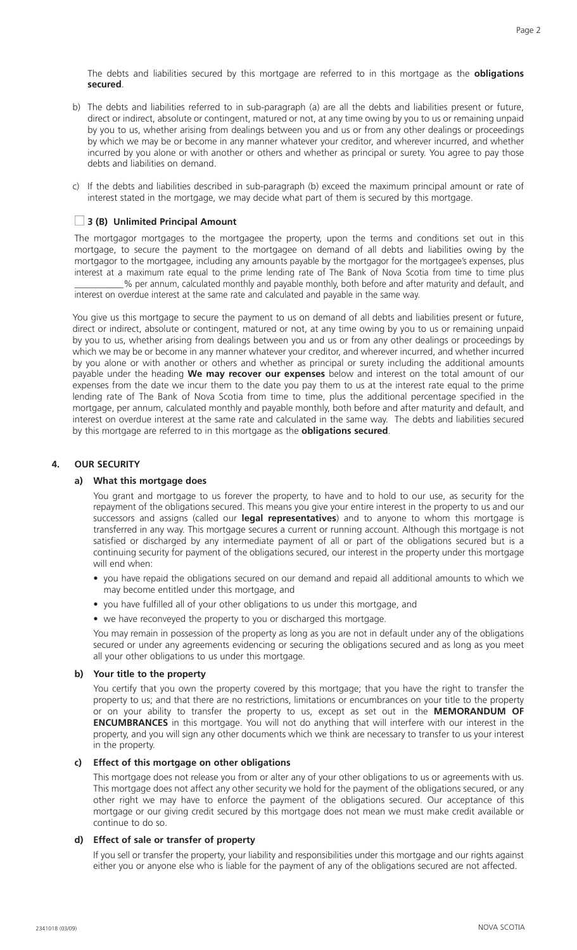The debts and liabilities secured by this mortgage are referred to in this mortgage as the **obligations secured**.

- b) The debts and liabilities referred to in sub-paragraph (a) are all the debts and liabilities present or future, direct or indirect, absolute or contingent, matured or not, at any time owing by you to us or remaining unpaid by you to us, whether arising from dealings between you and us or from any other dealings or proceedings by which we may be or become in any manner whatever your creditor, and wherever incurred, and whether incurred by you alone or with another or others and whether as principal or surety. You agree to pay those debts and liabilities on demand.
- c) If the debts and liabilities described in sub-paragraph (b) exceed the maximum principal amount or rate of interest stated in the mortgage, we may decide what part of them is secured by this mortgage.

# **■ 3 (B) Unlimited Principal Amount**

The mortgagor mortgages to the mortgagee the property, upon the terms and conditions set out in this mortgage, to secure the payment to the mortgagee on demand of all debts and liabilities owing by the mortgagor to the mortgagee, including any amounts payable by the mortgagor for the mortgagee's expenses, plus interest at a maximum rate equal to the prime lending rate of The Bank of Nova Scotia from time to time plus \_\_\_\_\_\_\_\_\_\_\_% per annum, calculated monthly and payable monthly, both before and after maturity and default, and

interest on overdue interest at the same rate and calculated and payable in the same way.

You give us this mortgage to secure the payment to us on demand of all debts and liabilities present or future, direct or indirect, absolute or contingent, matured or not, at any time owing by you to us or remaining unpaid by you to us, whether arising from dealings between you and us or from any other dealings or proceedings by which we may be or become in any manner whatever your creditor, and wherever incurred, and whether incurred by you alone or with another or others and whether as principal or surety including the additional amounts payable under the heading **We may recover our expenses** below and interest on the total amount of our expenses from the date we incur them to the date you pay them to us at the interest rate equal to the prime lending rate of The Bank of Nova Scotia from time to time, plus the additional percentage specified in the mortgage, per annum, calculated monthly and payable monthly, both before and after maturity and default, and interest on overdue interest at the same rate and calculated in the same way. The debts and liabilities secured by this mortgage are referred to in this mortgage as the **obligations secured**.

#### **4. OUR SECURITY**

#### **a) What this mortgage does**

You grant and mortgage to us forever the property, to have and to hold to our use, as security for the repayment of the obligations secured. This means you give your entire interest in the property to us and our successors and assigns (called our **legal representatives**) and to anyone to whom this mortgage is transferred in any way. This mortgage secures a current or running account. Although this mortgage is not satisfied or discharged by any intermediate payment of all or part of the obligations secured but is a continuing security for payment of the obligations secured, our interest in the property under this mortgage will end when:

- you have repaid the obligations secured on our demand and repaid all additional amounts to which we may become entitled under this mortgage, and
- you have fulfilled all of your other obligations to us under this mortgage, and
- we have reconveyed the property to you or discharged this mortgage.

You may remain in possession of the property as long as you are not in default under any of the obligations secured or under any agreements evidencing or securing the obligations secured and as long as you meet all your other obligations to us under this mortgage.

#### **b) Your title to the property**

You certify that you own the property covered by this mortgage; that you have the right to transfer the property to us; and that there are no restrictions, limitations or encumbrances on your title to the property or on your ability to transfer the property to us, except as set out in the **MEMORANDUM OF ENCUMBRANCES** in this mortgage. You will not do anything that will interfere with our interest in the property, and you will sign any other documents which we think are necessary to transfer to us your interest in the property.

#### **c) Effect of this mortgage on other obligations**

This mortgage does not release you from or alter any of your other obligations to us or agreements with us. This mortgage does not affect any other security we hold for the payment of the obligations secured, or any other right we may have to enforce the payment of the obligations secured. Our acceptance of this mortgage or our giving credit secured by this mortgage does not mean we must make credit available or continue to do so.

#### **d) Effect of sale or transfer of property**

If you sell or transfer the property, your liability and responsibilities under this mortgage and our rights against either you or anyone else who is liable for the payment of any of the obligations secured are not affected.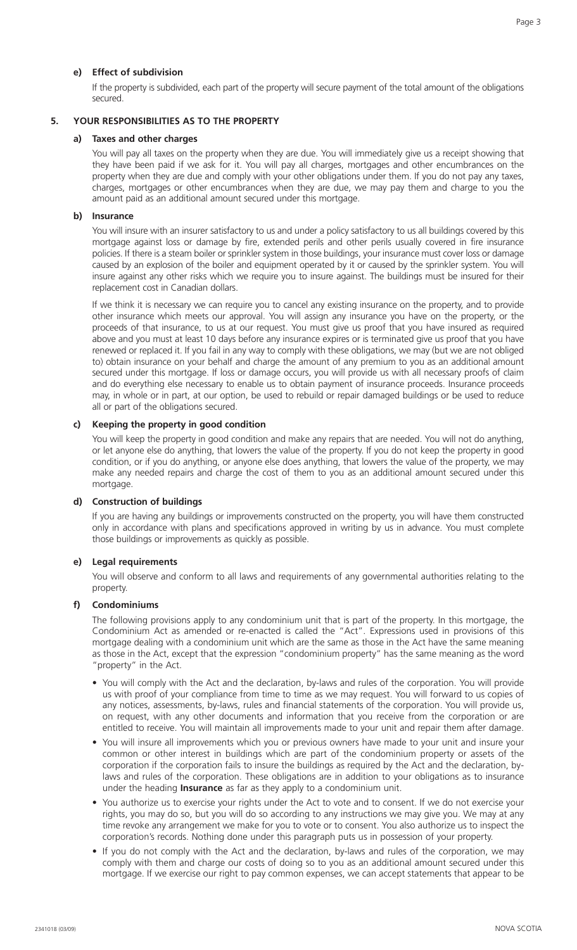## **e) Effect of subdivision**

If the property is subdivided, each part of the property will secure payment of the total amount of the obligations secured.

# **5. YOUR RESPONSIBILITIES AS TO THE PROPERTY**

## **a) Taxes and other charges**

You will pay all taxes on the property when they are due. You will immediately give us a receipt showing that they have been paid if we ask for it. You will pay all charges, mortgages and other encumbrances on the property when they are due and comply with your other obligations under them. If you do not pay any taxes, charges, mortgages or other encumbrances when they are due, we may pay them and charge to you the amount paid as an additional amount secured under this mortgage.

## **b) Insurance**

You will insure with an insurer satisfactory to us and under a policy satisfactory to us all buildings covered by this mortgage against loss or damage by fire, extended perils and other perils usually covered in fire insurance policies. If there is a steam boiler or sprinkler system in those buildings, your insurance must cover loss or damage caused by an explosion of the boiler and equipment operated by it or caused by the sprinkler system. You will insure against any other risks which we require you to insure against. The buildings must be insured for their replacement cost in Canadian dollars.

If we think it is necessary we can require you to cancel any existing insurance on the property, and to provide other insurance which meets our approval. You will assign any insurance you have on the property, or the proceeds of that insurance, to us at our request. You must give us proof that you have insured as required above and you must at least 10 days before any insurance expires or is terminated give us proof that you have renewed or replaced it. If you fail in any way to comply with these obligations, we may (but we are not obliged to) obtain insurance on your behalf and charge the amount of any premium to you as an additional amount secured under this mortgage. If loss or damage occurs, you will provide us with all necessary proofs of claim and do everything else necessary to enable us to obtain payment of insurance proceeds. Insurance proceeds may, in whole or in part, at our option, be used to rebuild or repair damaged buildings or be used to reduce all or part of the obligations secured.

## **c) Keeping the property in good condition**

You will keep the property in good condition and make any repairs that are needed. You will not do anything, or let anyone else do anything, that lowers the value of the property. If you do not keep the property in good condition, or if you do anything, or anyone else does anything, that lowers the value of the property, we may make any needed repairs and charge the cost of them to you as an additional amount secured under this mortgage.

## **d) Construction of buildings**

If you are having any buildings or improvements constructed on the property, you will have them constructed only in accordance with plans and specifications approved in writing by us in advance. You must complete those buildings or improvements as quickly as possible.

## **e) Legal requirements**

You will observe and conform to all laws and requirements of any governmental authorities relating to the property.

## **f) Condominiums**

The following provisions apply to any condominium unit that is part of the property. In this mortgage, the Condominium Act as amended or re-enacted is called the "Act". Expressions used in provisions of this mortgage dealing with a condominium unit which are the same as those in the Act have the same meaning as those in the Act, except that the expression "condominium property" has the same meaning as the word "property" in the Act.

- You will comply with the Act and the declaration, by-laws and rules of the corporation. You will provide us with proof of your compliance from time to time as we may request. You will forward to us copies of any notices, assessments, by-laws, rules and financial statements of the corporation. You will provide us, on request, with any other documents and information that you receive from the corporation or are entitled to receive. You will maintain all improvements made to your unit and repair them after damage.
- You will insure all improvements which you or previous owners have made to your unit and insure your common or other interest in buildings which are part of the condominium property or assets of the corporation if the corporation fails to insure the buildings as required by the Act and the declaration, bylaws and rules of the corporation. These obligations are in addition to your obligations as to insurance under the heading **Insurance** as far as they apply to a condominium unit.
- You authorize us to exercise your rights under the Act to vote and to consent. If we do not exercise your rights, you may do so, but you will do so according to any instructions we may give you. We may at any time revoke any arrangement we make for you to vote or to consent. You also authorize us to inspect the corporation's records. Nothing done under this paragraph puts us in possession of your property.
- If you do not comply with the Act and the declaration, by-laws and rules of the corporation, we may comply with them and charge our costs of doing so to you as an additional amount secured under this mortgage. If we exercise our right to pay common expenses, we can accept statements that appear to be

Page 3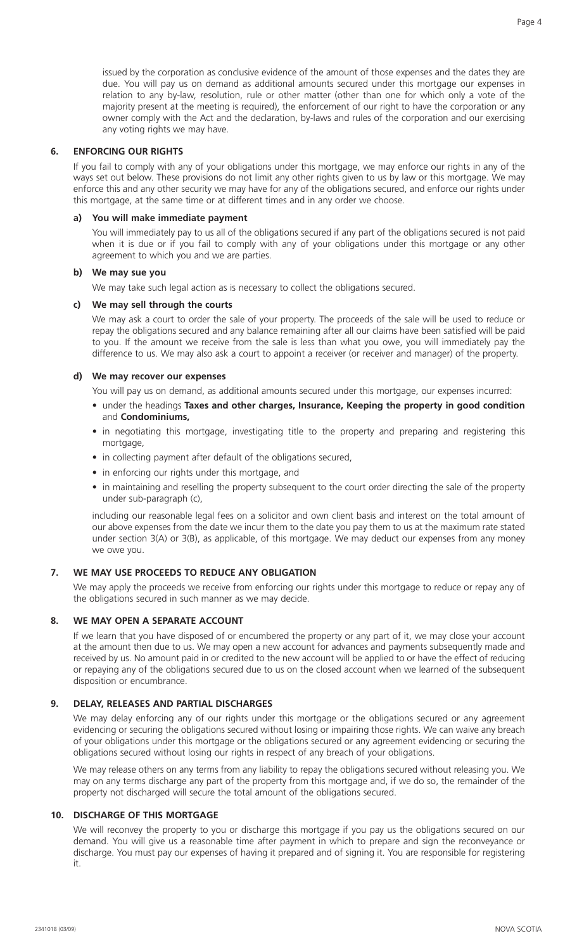issued by the corporation as conclusive evidence of the amount of those expenses and the dates they are due. You will pay us on demand as additional amounts secured under this mortgage our expenses in relation to any by-law, resolution, rule or other matter (other than one for which only a vote of the majority present at the meeting is required), the enforcement of our right to have the corporation or any owner comply with the Act and the declaration, by-laws and rules of the corporation and our exercising any voting rights we may have.

## **6. ENFORCING OUR RIGHTS**

If you fail to comply with any of your obligations under this mortgage, we may enforce our rights in any of the ways set out below. These provisions do not limit any other rights given to us by law or this mortgage. We may enforce this and any other security we may have for any of the obligations secured, and enforce our rights under this mortgage, at the same time or at different times and in any order we choose.

## **a) You will make immediate payment**

You will immediately pay to us all of the obligations secured if any part of the obligations secured is not paid when it is due or if you fail to comply with any of your obligations under this mortgage or any other agreement to which you and we are parties.

## **b) We may sue you**

We may take such legal action as is necessary to collect the obligations secured.

## **c) We may sell through the courts**

We may ask a court to order the sale of your property. The proceeds of the sale will be used to reduce or repay the obligations secured and any balance remaining after all our claims have been satisfied will be paid to you. If the amount we receive from the sale is less than what you owe, you will immediately pay the difference to us. We may also ask a court to appoint a receiver (or receiver and manager) of the property.

## **d) We may recover our expenses**

You will pay us on demand, as additional amounts secured under this mortgage, our expenses incurred:

- under the headings **Taxes and other charges, Insurance, Keeping the property in good condition** and **Condominiums,**
- in negotiating this mortgage, investigating title to the property and preparing and registering this mortgage.
- in collecting payment after default of the obligations secured,
- in enforcing our rights under this mortgage, and
- in maintaining and reselling the property subsequent to the court order directing the sale of the property under sub-paragraph (c),

including our reasonable legal fees on a solicitor and own client basis and interest on the total amount of our above expenses from the date we incur them to the date you pay them to us at the maximum rate stated under section 3(A) or 3(B), as applicable, of this mortgage. We may deduct our expenses from any money we owe you.

## **7. WE MAY USE PROCEEDS TO REDUCE ANY OBLIGATION**

We may apply the proceeds we receive from enforcing our rights under this mortgage to reduce or repay any of the obligations secured in such manner as we may decide.

## **8. WE MAY OPEN A SEPARATE ACCOUNT**

If we learn that you have disposed of or encumbered the property or any part of it, we may close your account at the amount then due to us. We may open a new account for advances and payments subsequently made and received by us. No amount paid in or credited to the new account will be applied to or have the effect of reducing or repaying any of the obligations secured due to us on the closed account when we learned of the subsequent disposition or encumbrance.

## **9. DELAY, RELEASES AND PARTIAL DISCHARGES**

We may delay enforcing any of our rights under this mortgage or the obligations secured or any agreement evidencing or securing the obligations secured without losing or impairing those rights. We can waive any breach of your obligations under this mortgage or the obligations secured or any agreement evidencing or securing the obligations secured without losing our rights in respect of any breach of your obligations.

We may release others on any terms from any liability to repay the obligations secured without releasing you. We may on any terms discharge any part of the property from this mortgage and, if we do so, the remainder of the property not discharged will secure the total amount of the obligations secured.

# **10. DISCHARGE OF THIS MORTGAGE**

We will reconvey the property to you or discharge this mortgage if you pay us the obligations secured on our demand. You will give us a reasonable time after payment in which to prepare and sign the reconveyance or discharge. You must pay our expenses of having it prepared and of signing it. You are responsible for registering it.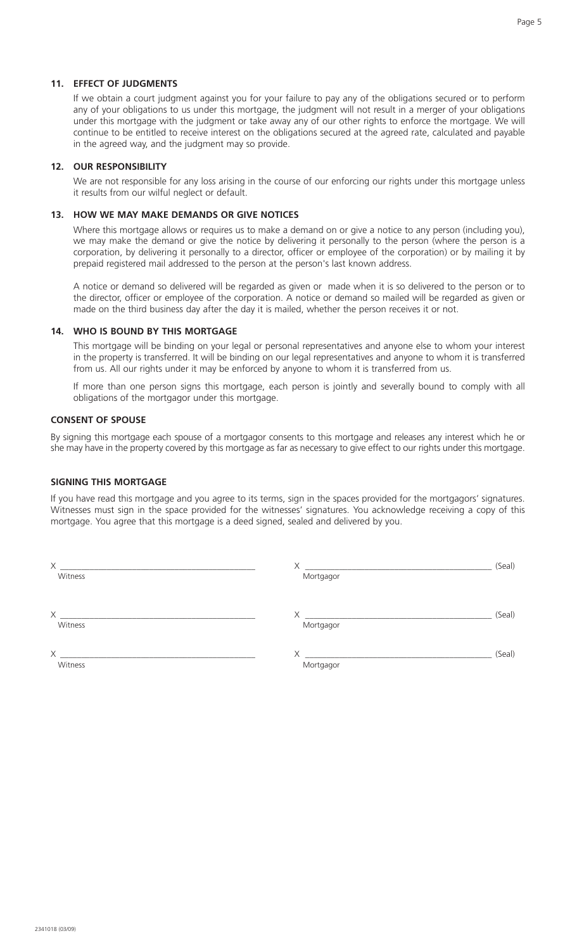## **11. EFFECT OF JUDGMENTS**

If we obtain a court judgment against you for your failure to pay any of the obligations secured or to perform any of your obligations to us under this mortgage, the judgment will not result in a merger of your obligations under this mortgage with the judgment or take away any of our other rights to enforce the mortgage. We will continue to be entitled to receive interest on the obligations secured at the agreed rate, calculated and payable in the agreed way, and the judgment may so provide.

#### **12. OUR RESPONSIBILITY**

We are not responsible for any loss arising in the course of our enforcing our rights under this mortgage unless it results from our wilful neglect or default.

## **13. HOW WE MAY MAKE DEMANDS OR GIVE NOTICES**

Where this mortgage allows or requires us to make a demand on or give a notice to any person (including you), we may make the demand or give the notice by delivering it personally to the person (where the person is a corporation, by delivering it personally to a director, officer or employee of the corporation) or by mailing it by prepaid registered mail addressed to the person at the person's last known address.

A notice or demand so delivered will be regarded as given or made when it is so delivered to the person or to the director, officer or employee of the corporation. A notice or demand so mailed will be regarded as given or made on the third business day after the day it is mailed, whether the person receives it or not.

## **14. WHO IS BOUND BY THIS MORTGAGE**

This mortgage will be binding on your legal or personal representatives and anyone else to whom your interest in the property is transferred. It will be binding on our legal representatives and anyone to whom it is transferred from us. All our rights under it may be enforced by anyone to whom it is transferred from us.

If more than one person signs this mortgage, each person is jointly and severally bound to comply with all obligations of the mortgagor under this mortgage.

#### **CONSENT OF SPOUSE**

By signing this mortgage each spouse of a mortgagor consents to this mortgage and releases any interest which he or she may have in the property covered by this mortgage as far as necessary to give effect to our rights under this mortgage.

## **SIGNING THIS MORTGAGE**

If you have read this mortgage and you agree to its terms, sign in the spaces provided for the mortgagors' signatures. Witnesses must sign in the space provided for the witnesses' signatures. You acknowledge receiving a copy of this mortgage. You agree that this mortgage is a deed signed, sealed and delivered by you.

| X                   |                                                         | (Seal) |
|---------------------|---------------------------------------------------------|--------|
| Witness             | Mortgagor                                               |        |
|                     |                                                         |        |
| Χ                   | Χ<br><u> 1989 - John Stone, Amerikaansk politiker (</u> | (Seal) |
| Witness             | Mortgagor                                               |        |
|                     |                                                         |        |
| $\times$<br>Witness | Χ<br>Mortgagor                                          | (Seal) |
|                     |                                                         |        |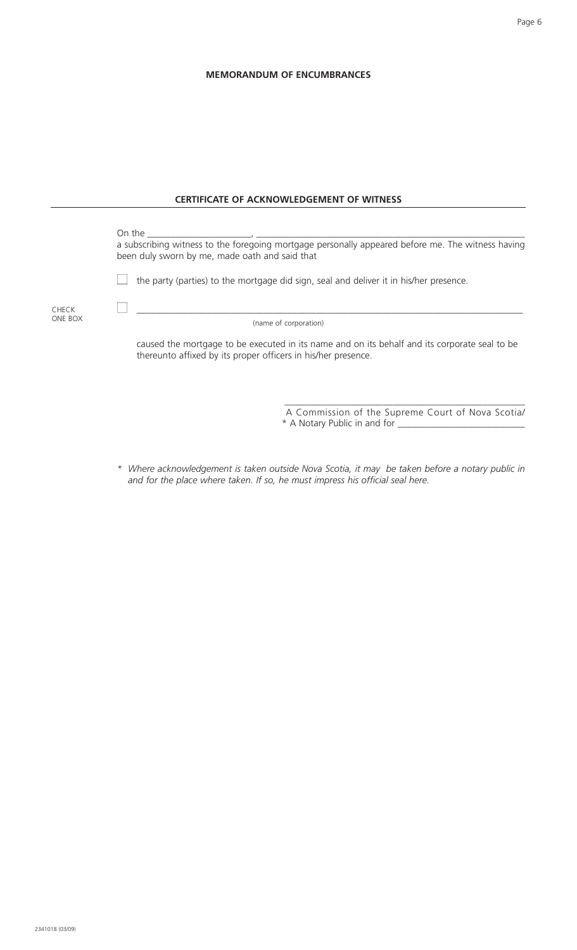# **MEMORANDUM OF ENCUMBRANCES**

|                         | <b>CERTIFICATE OF ACKNOWLEDGEMENT OF WITNESS</b>                                                                                                                                                                                                                                                                                                             |
|-------------------------|--------------------------------------------------------------------------------------------------------------------------------------------------------------------------------------------------------------------------------------------------------------------------------------------------------------------------------------------------------------|
|                         | On the<br>$\mathcal{L}$ . The contract of $\mathcal{L}$ and $\mathcal{L}$ are the contract of $\mathcal{L}$<br>a subscribing witness to the foregoing mortgage personally appeared before me. The witness having<br>been duly sworn by me, made oath and said that<br>the party (parties) to the mortgage did sign, seal and deliver it in his/her presence. |
| <b>CHECK</b><br>ONE BOX | (name of corporation)                                                                                                                                                                                                                                                                                                                                        |
|                         | caused the mortgage to be executed in its name and on its behalf and its corporate seal to be<br>thereunto affixed by its proper officers in his/her presence.                                                                                                                                                                                               |
|                         | A Commission of the Supreme Court of Nova Scotia/<br>* A Notary Public in and for _________                                                                                                                                                                                                                                                                  |

*\* Where acknowledgement is taken outside Nova Scotia, it may be taken before a notary public in and for the place where taken. If so, he must impress his official seal here.*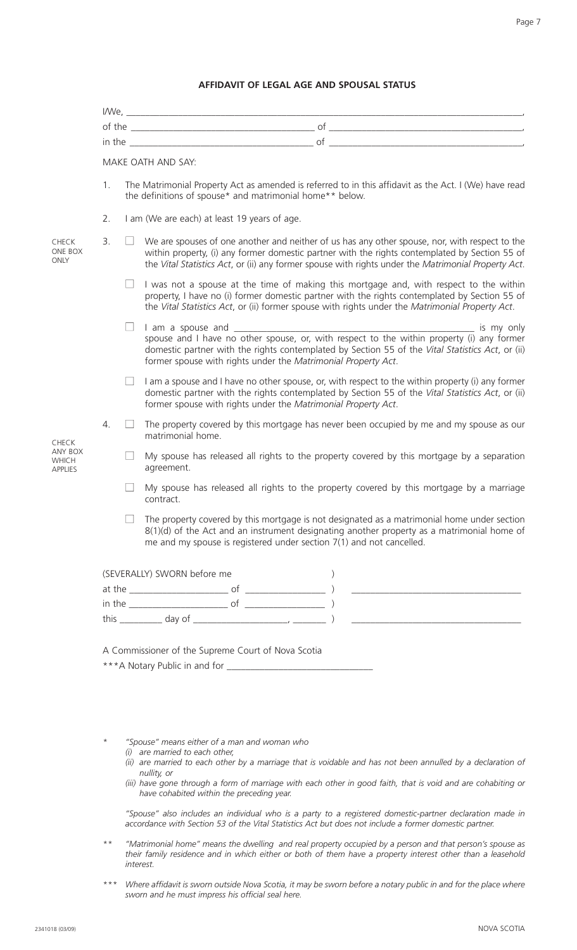#### **AFFIDAVIT OF LEGAL AGE AND SPOUSAL STATUS**

|                                                    |    | MAKE OATH AND SAY: |                                                                                                                                                                                                                                                                                                         |  |  |
|----------------------------------------------------|----|--------------------|---------------------------------------------------------------------------------------------------------------------------------------------------------------------------------------------------------------------------------------------------------------------------------------------------------|--|--|
|                                                    | 1. |                    | The Matrimonial Property Act as amended is referred to in this affidavit as the Act. I (We) have read<br>the definitions of spouse* and matrimonial home** below.                                                                                                                                       |  |  |
|                                                    | 2. |                    | I am (We are each) at least 19 years of age.                                                                                                                                                                                                                                                            |  |  |
| <b>CHECK</b><br>ONE BOX<br>ONLY                    | 3. |                    | We are spouses of one another and neither of us has any other spouse, nor, with respect to the<br>within property, (i) any former domestic partner with the rights contemplated by Section 55 of<br>the Vital Statistics Act, or (ii) any former spouse with rights under the Matrimonial Property Act. |  |  |
|                                                    |    |                    | I was not a spouse at the time of making this mortgage and, with respect to the within<br>property, I have no (i) former domestic partner with the rights contemplated by Section 55 of<br>the Vital Statistics Act, or (ii) former spouse with rights under the Matrimonial Property Act.              |  |  |
|                                                    |    | $\Box$             | spouse and I have no other spouse, or, with respect to the within property (i) any former<br>domestic partner with the rights contemplated by Section 55 of the Vital Statistics Act, or (ii)<br>former spouse with rights under the Matrimonial Property Act.                                          |  |  |
|                                                    |    |                    | I am a spouse and I have no other spouse, or, with respect to the within property (i) any former<br>domestic partner with the rights contemplated by Section 55 of the Vital Statistics Act, or (ii)<br>former spouse with rights under the Matrimonial Property Act.                                   |  |  |
| <b>CHECK</b><br>ANY BOX<br>WHICH<br><b>APPLIES</b> | 4. |                    | The property covered by this mortgage has never been occupied by me and my spouse as our<br>matrimonial home.                                                                                                                                                                                           |  |  |
|                                                    |    |                    | My spouse has released all rights to the property covered by this mortgage by a separation<br>agreement.                                                                                                                                                                                                |  |  |
|                                                    |    |                    | My spouse has released all rights to the property covered by this mortgage by a marriage<br>contract.                                                                                                                                                                                                   |  |  |
|                                                    |    |                    | The property covered by this mortgage is not designated as a matrimonial home under section<br>$8(1)(d)$ of the Act and an instrument designating another property as a matrimonial home of<br>me and my spouse is registered under section $7(1)$ and not cancelled.                                   |  |  |
|                                                    |    |                    | (SEVERALLY) SWORN before me                                                                                                                                                                                                                                                                             |  |  |
|                                                    |    |                    |                                                                                                                                                                                                                                                                                                         |  |  |
|                                                    |    |                    |                                                                                                                                                                                                                                                                                                         |  |  |
|                                                    |    |                    |                                                                                                                                                                                                                                                                                                         |  |  |
|                                                    |    |                    | A Commissioner of the Supreme Court of Nova Scotia                                                                                                                                                                                                                                                      |  |  |
|                                                    |    |                    |                                                                                                                                                                                                                                                                                                         |  |  |

- *\* "Spouse" means either of a man and woman who*
	- *(i) are married to each other,*
	- *(ii) are married to each other by a marriage that is voidable and has not been annulled by a declaration of nullity, or*
	- *(iii) have gone through a form of marriage with each other in good faith, that is void and are cohabiting or have cohabited within the preceding year.*

*"Spouse" also includes an individual who is a party to a registered domestic-partner declaration made in accordance with Section 53 of the Vital Statistics Act but does not include a former domestic partner.*

- *\*\* "Matrimonial home" means the dwelling and real property occupied by a person and that person's spouse as their family residence and in which either or both of them have a property interest other than a leasehold interest.*
- *\*\*\* Where affidavit is sworn outside Nova Scotia, it may be sworn before a notary public in and for the place where sworn and he must impress his official seal here.*